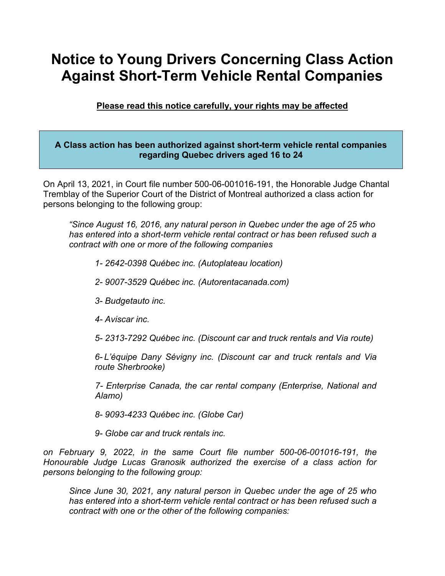# **Notice to Young Drivers Concerning Class Action Against Short-Term Vehicle Rental Companies**

**Please read this notice carefully, your rights may be affected**

## **A Class action has been authorized against short-term vehicle rental companies regarding Quebec drivers aged 16 to 24**

On April 13, 2021, in Court file number 500-06-001016-191, the Honorable Judge Chantal Tremblay of the Superior Court of the District of Montreal authorized a class action for persons belonging to the following group:

*"Since August 16, 2016, any natural person in Quebec under the age of 25 who has entered into a short-term vehicle rental contract or has been refused such a contract with one or more of the following companies*

- *1- 2642-0398 Québec inc. (Autoplateau location)*
- *2- 9007-3529 Québec inc. (Autorentacanada.com)*
- *3- Budgetauto inc.*
- *4- Aviscar inc.*

*5- 2313-7292 Québec inc. (Discount car and truck rentals and Via route)*

*6- L'équipe Dany Sévigny inc. (Discount car and truck rentals and Via route Sherbrooke)*

*7- Enterprise Canada, the car rental company (Enterprise, National and Alamo)*

*8- 9093-4233 Québec inc. (Globe Car)*

*9- Globe car and truck rentals inc.*

*on February 9, 2022, in the same Court file number 500-06-001016-191, the Honourable Judge Lucas Granosik authorized the exercise of a class action for persons belonging to the following group:*

*Since June 30, 2021, any natural person in Quebec under the age of 25 who has entered into a short-term vehicle rental contract or has been refused such a contract with one or the other of the following companies:*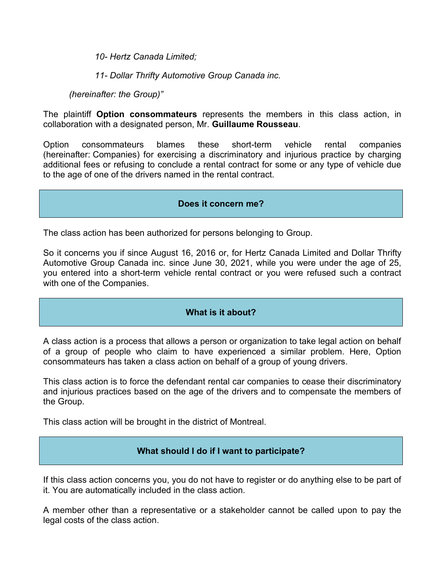*10- Hertz Canada Limited;*

*11- Dollar Thrifty Automotive Group Canada inc.*

*(hereinafter: the Group)"*

The plaintiff **Option consommateurs** represents the members in this class action, in collaboration with a designated person, Mr. **Guillaume Rousseau**.

Option consommateurs blames these short-term vehicle rental companies (hereinafter: Companies) for exercising a discriminatory and injurious practice by charging additional fees or refusing to conclude a rental contract for some or any type of vehicle due to the age of one of the drivers named in the rental contract.

#### **Does it concern me?**

The class action has been authorized for persons belonging to Group.

So it concerns you if since August 16, 2016 or, for Hertz Canada Limited and Dollar Thrifty Automotive Group Canada inc. since June 30, 2021, while you were under the age of 25, you entered into a short-term vehicle rental contract or you were refused such a contract with one of the Companies.

## **What is it about?**

A class action is a process that allows a person or organization to take legal action on behalf of a group of people who claim to have experienced a similar problem. Here, Option consommateurs has taken a class action on behalf of a group of young drivers.

This class action is to force the defendant rental car companies to cease their discriminatory and injurious practices based on the age of the drivers and to compensate the members of the Group.

This class action will be brought in the district of Montreal.

## **What should I do if I want to participate?**

If this class action concerns you, you do not have to register or do anything else to be part of it. You are automatically included in the class action.

A member other than a representative or a stakeholder cannot be called upon to pay the legal costs of the class action.